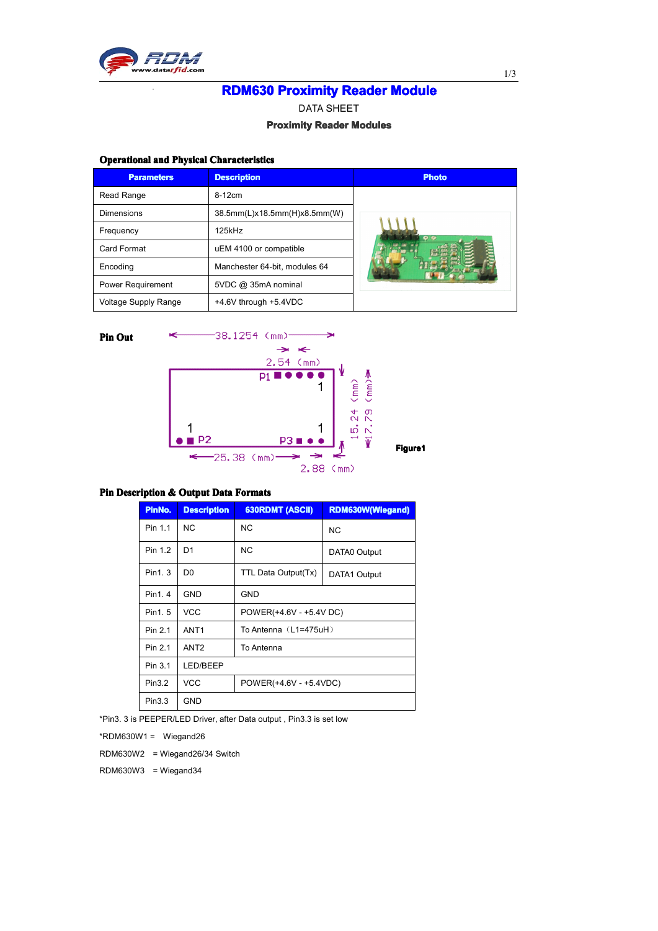

# **RDM630 Proximity Reader Module**

DATA SHEET

## **Proximity Reader Modules**

## **Operational and Physical Characteristics**

| <b>Parameters</b>           | <b>Description</b>            | <b>Photo</b> |
|-----------------------------|-------------------------------|--------------|
| Read Range                  | 8-12cm                        |              |
| Dimensions                  | 38.5mm(L)x18.5mm(H)x8.5mm(W)  |              |
| Frequency                   | $125$ k $Hz$                  | $\bullet$    |
| Card Format                 | uEM 4100 or compatible        |              |
| Encoding                    | Manchester 64-bit, modules 64 |              |
| <b>Power Requirement</b>    | 5VDC @ 35mA nominal           |              |
| <b>Voltage Supply Range</b> | +4.6V through +5.4VDC         |              |



### **Pin Description & Output Data Formats**

| PinNo.  | <b>Description</b> | <b>630RDMT (ASCII)</b>  | <b>RDM630W(Wiegand)</b> |  |  |  |  |  |  |
|---------|--------------------|-------------------------|-------------------------|--|--|--|--|--|--|
| Pin 1.1 | <b>NC</b>          | <b>NC</b>               | <b>NC</b>               |  |  |  |  |  |  |
| Pin 1.2 | D <sub>1</sub>     | <b>NC</b>               | DATA0 Output            |  |  |  |  |  |  |
| Pin1.3  | D <sub>0</sub>     | TTL Data Output(Tx)     | DATA1 Output            |  |  |  |  |  |  |
| Pin1.4  | <b>GND</b>         | <b>GND</b>              |                         |  |  |  |  |  |  |
| Pin1.5  | <b>VCC</b>         | POWER(+4.6V - +5.4V DC) |                         |  |  |  |  |  |  |
| Pin 2.1 | ANT <sub>1</sub>   | To Antenna $(L1=475uH)$ |                         |  |  |  |  |  |  |
| Pin 2.1 | ANT <sub>2</sub>   | To Antenna              |                         |  |  |  |  |  |  |
| Pin 3.1 | LED/BEEP           |                         |                         |  |  |  |  |  |  |
| Pin3.2  | <b>VCC</b>         | POWER(+4.6V - +5.4VDC)  |                         |  |  |  |  |  |  |
| Pin3.3  | <b>GND</b>         |                         |                         |  |  |  |  |  |  |

\*Pin3. 3 is PEEPER/LED Driver, after Data output , Pin3.3 is set low

 $*$ RDM630W1 = Wiegand26

RDM630W2 <sup>=</sup> Wiegand26/34 Switch

RDM630W3 <sup>=</sup> Wiegand34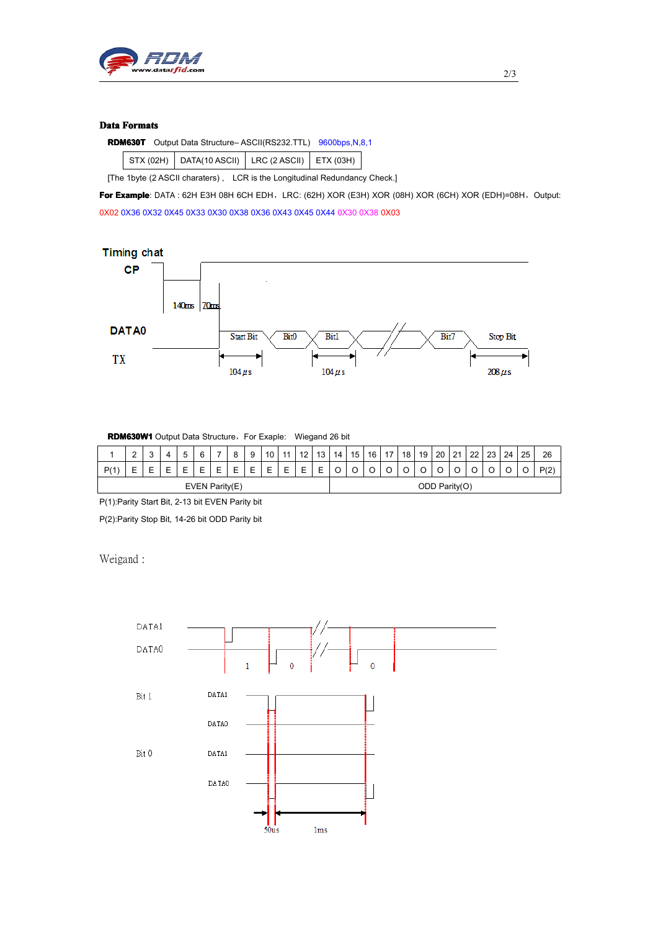

#### **Data Formats**

|  | <b>RDM630T</b> Output Data Structure-ASCII(RS232.TTL) 9600bps, N, 8, 1 |  |  |
|--|------------------------------------------------------------------------|--|--|
|--|------------------------------------------------------------------------|--|--|

|  | $\vert$ STX (02H) $\vert$ DATA(10 ASCII) $\vert$ LRC (2 ASCII) $\vert$ ETX (03H) |  |
|--|----------------------------------------------------------------------------------|--|
|  |                                                                                  |  |

[The 1byte (2 ASCII charaters) , LCR is the Longitudinal Redundancy Check.]

For **Example**: DATA : 62H E3H 08H 6CH EDH, LRC: (62H) XOR (E3H) XOR (08H) XOR (6CH) XOR (EDH)=08H, Output: 0X02 0X36 0X32 0X45 0X33 0X30 0X38 0X36 0X43 0X45 0X44 0X30 0X38 0X03



**RDM630W1** Output Data Structure, For Exaple: Wiegand 26 bit

|                | ⌒<br>- | u |  |  |  | - | C | a<br>≂ | 10 | 44          | 12 | 13            | 14 | 15 | 16 | 17 | 18 | 19 | 20                            | $^{\circ}$<br>- | ົດດ | 23 | 24 | 25 | 26             |
|----------------|--------|---|--|--|--|---|---|--------|----|-------------|----|---------------|----|----|----|----|----|----|-------------------------------|-----------------|-----|----|----|----|----------------|
| D/1<br>.       |        |   |  |  |  | − | − |        | -  | -<br>-<br>− | -  | -<br>-        | ◡  | ◡  |    |    | ֊  |    | $\overline{\phantom{0}}$<br>~ |                 | ັ   |    | ◡  |    | P(2)<br>$\sim$ |
| EVEN Parity(E) |        |   |  |  |  |   |   |        |    |             |    | ODD Parity(O) |    |    |    |    |    |    |                               |                 |     |    |    |    |                |

P(1):Parity Start Bit, 2-13 bit EVEN Parity bit

P(2):Parity Stop Bit, 14-26 bit ODD Parity bit

Weigand :